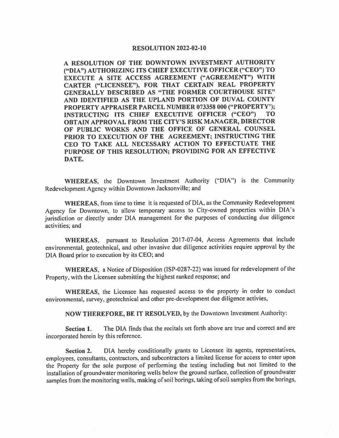## **RESOLUTION 2022-02-10**

**A RESOLUTION OF THE DOWNTOWN INVESTMENT AUTHORITY ("DIA") AUTHORIZING ITS CHIEF EXECUTIVE OFFICER ("CEO") TO EXECUTE A SITE ACCESS AGREEMENT ("AGREEMENT") WITH CARTER ("LICENSEE"), FOR THAT CERTAIN REAL PROPERTY GENERALLY DESCRIBED AS "THE FORMER COURTHOUSE SITE" AND IDENTIFIED AS THE UPLAND PORTION OF DUVAL COUNTY PROPERTY APPRAISER PARCEL NUMBER 073358 000 ("PROPERTY'); INSTRUCTING ITS CHIEF EXECUTIVE OFFICER ("CEO") TO OBTAIN APPROVAL FROM THE CITY'S RISK MANAGER, DIRECTOR OF PUBLIC WORKS AND THE OFFICE OF GENERAL COUNSEL PRIOR TO EXECUTION OF THE AGREEMENT; INSTRUCTING THE CEO TO TAKE ALL NECESSARY ACTION TO EFFECTUATE THE PURPOSE OF THIS RESOLUTION; PROVIDING FOR AN EFFECTIVE DATE.** 

**WHEREAS,** the Downtown Investment Authority ("DIA") is the Community Redevelopment Agency within Downtown Jacksonville; and

**WHEREAS,** from time to time it is requested of DIA, as the Community Redevelopment Agency for Downtown, to allow temporary access to City-owned properties within DIA's jurisdiction or directly under DIA management for the purposes of conducting due diligence activities; and

**WHEREAS,** pursuant to Resolution 2017-07-04, Access Agreements that include environmental, geotechnical, and other invasive due diligence activities require approval by the DIA Board prior to execution by its CEO; and

**WHEREAS,** a Notice of Disposition (ISP-0287-22) was issued for redevelopment of the Property, with the Licensee submitting the highest ranked response; and

**WHEREAS,** the Licensee has requested access to the property in order to conduct environmental, survey, geotechnical and other pre-development due diligence activies,

**NOW THEREFORE, BE IT RESOLVED,** by the Downtown Investment Authority:

**Section 1.** The DIA finds that the recitals set forth above are true and correct and are incorporated herein by this reference.

**Section 2.** DIA hereby conditionally grants to Licensee its agents, representatives, employees, consultants, contractors, and subcontractors a limited license for access to enter upon the Property for the sole purpose of performing the testing including but not limited to the installation of groundwater monitoring wells below the ground surface, collection of groundwater samples from the monitoring wells, making of soil borings, taking of soil samples from the borings,